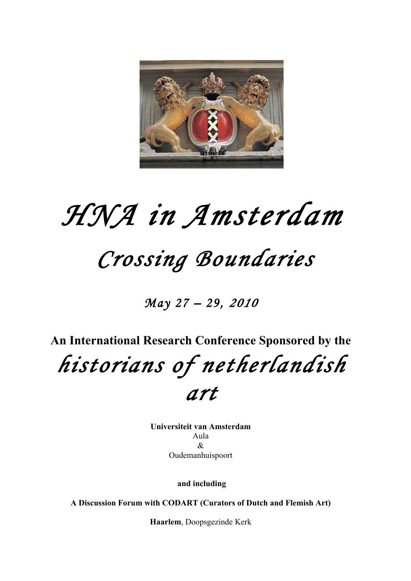

# *HNA in Amsterdam*

## *Crossing Boundaries*

*May 27 – 29, <sup>2010</sup>* 

**An International Research Conference Sponsored by the** *historians of netherlandish art* 

> **Universiteit van Amsterdam** Aula & Oudemanhuispoort

> > **and including**

**A Discussion Forum with CODART (Curators of Dutch and Flemish Art)**

**Haarlem**, Doopsgezinde Kerk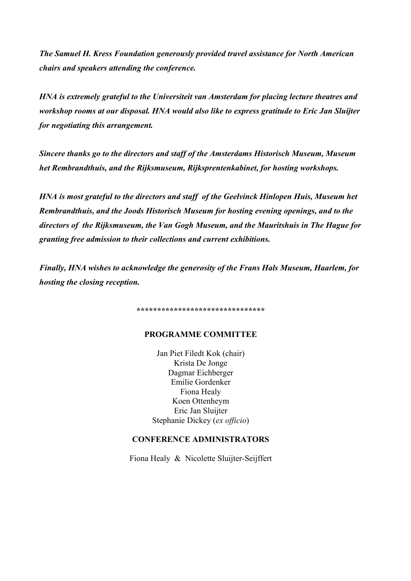*The Samuel H. Kress Foundation generously provided travel assistance for North American chairs and speakers attending the conference.*

*HNA is extremely grateful to the Universiteit van Amsterdam for placing lecture theatres and workshop rooms at our disposal. HNA would also like to express gratitude to Eric Jan Sluijter for negotiating this arrangement.* 

*Sincere thanks go to the directors and staff of the Amsterdams Historisch Museum, Museum het Rembrandthuis, and the Rijksmuseum, Rijksprentenkabinet, for hosting workshops.*

*HNA is most grateful to the directors and staff of the Geelvinck Hinlopen Huis, Museum het Rembrandthuis, and the Joods Historisch Museum for hosting evening openings, and to the directors of the Rijksmuseum, the Van Gogh Museum, and the Mauritshuis in The Hague for granting free admission to their collections and current exhibitions.* 

*Finally, HNA wishes to acknowledge the generosity of the Frans Hals Museum, Haarlem, for hosting the closing reception.*

**\*\*\*\*\*\*\*\*\*\*\*\*\*\*\*\*\*\*\*\*\*\*\*\*\*\*\*\*\*\*\***

### **PROGRAMME COMMITTEE**

Jan Piet Filedt Kok (chair) Krista De Jonge Dagmar Eichberger Emilie Gordenker Fiona Healy Koen Ottenheym Eric Jan Sluijter Stephanie Dickey (*ex officio*)

## **CONFERENCE ADMINISTRATORS**

Fiona Healy & Nicolette Sluijter-Seijffert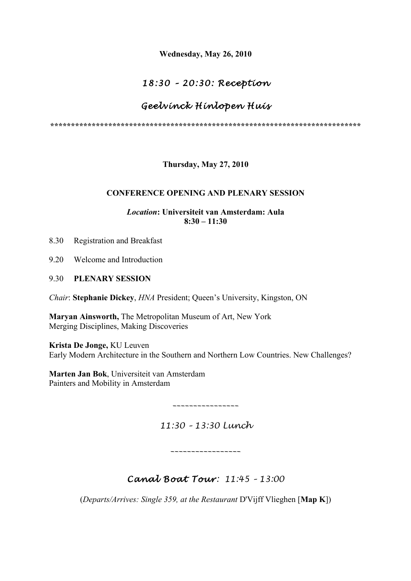**Wednesday, May 26, 2010**

## *18:30 – 20 :30 : Reception*

## *Geelvinck Hinlopen Huis*

**\*\*\*\*\*\*\*\*\*\*\*\*\*\*\*\*\*\*\*\*\*\*\*\*\*\*\*\*\*\*\*\*\*\*\*\*\*\*\*\*\*\*\*\*\*\*\*\*\*\*\*\*\*\*\*\*\*\*\*\*\*\*\*\*\*\*\*\*\*\*\*\*\*\*\***

**Thursday, May 27, 2010**

## **CONFERENCE OPENING AND PLENARY SESSION**

## *Location***: Universiteit van Amsterdam: Aula 8:30 – 11:30**

- 8.30 Registration and Breakfast
- 9.20 Welcome and Introduction
- 9.30 **PLENARY SESSION**

*Chair*: **Stephanie Dickey**, *HNA* President; Queen's University, Kingston, ON

**Maryan Ainsworth,** The Metropolitan Museum of Art, New York Merging Disciplines, Making Discoveries

**Krista De Jonge,** KU Leuven Early Modern Architecture in the Southern and Northern Low Countries. New Challenges?

**Marten Jan Bok**, Universiteit van Amsterdam Painters and Mobility in Amsterdam

*\_\_\_\_\_\_\_\_\_\_\_\_\_\_\_\_*

*11:30 – 13:30 Lunch*

*\_\_\_\_\_\_\_\_\_\_\_\_\_\_\_\_\_*

## *Canal Boat Tour: 11:45 – 13:00*

(*Departs/Arrives: Single 359, at the Restaurant* D'Vijff Vlieghen [**Map K**])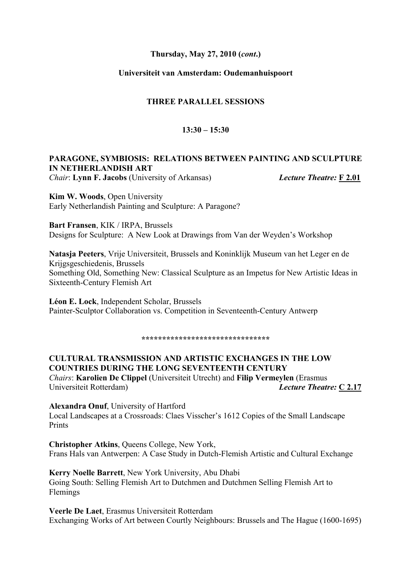## **Thursday, May 27, 2010 (***cont***.)**

## **Universiteit van Amsterdam: Oudemanhuispoort**

### **THREE PARALLEL SESSIONS**

## **13:30 – 15:30**

## **PARAGONE, SYMBIOSIS: RELATIONS BETWEEN PAINTING AND SCULPTURE IN NETHERLANDISH ART**

*Chair*: **Lynn F. Jacobs** (University of Arkansas) *Lecture Theatre:* **F 2.01**

**Kim W. Woods**, Open University Early Netherlandish Painting and Sculpture: A Paragone?

**Bart Fransen**, KIK / IRPA, Brussels Designs for Sculpture: A New Look at Drawings from Van der Weyden's Workshop

**Natasja Peeters**, Vrije Universiteit, Brussels and Koninklijk Museum van het Leger en de Krijgsgeschiedenis, Brussels Something Old, Something New: Classical Sculpture as an Impetus for New Artistic Ideas in Sixteenth-Century Flemish Art

**Léon E. Lock**, Independent Scholar, Brussels Painter-Sculptor Collaboration vs. Competition in Seventeenth-Century Antwerp

**\*\*\*\*\*\*\*\*\*\*\*\*\*\*\*\*\*\*\*\*\*\*\*\*\*\*\*\*\*\*\***

**CULTURAL TRANSMISSION AND ARTISTIC EXCHANGES IN THE LOW COUNTRIES DURING THE LONG SEVENTEENTH CENTURY** *Chairs*: **Karolien De Clippel** (Universiteit Utrecht) and **Filip Vermeylen** (Erasmus Universiteit Rotterdam) *Lecture Theatre:* **C 2.17**

**Alexandra Onuf**, University of Hartford Local Landscapes at a Crossroads: Claes Visscher's 1612 Copies of the Small Landscape **Prints** 

**Christopher Atkins**, Queens College, New York, Frans Hals van Antwerpen: A Case Study in Dutch-Flemish Artistic and Cultural Exchange

**Kerry Noelle Barrett**, New York University, Abu Dhabi Going South: Selling Flemish Art to Dutchmen and Dutchmen Selling Flemish Art to Flemings

**Veerle De Laet**, Erasmus Universiteit Rotterdam Exchanging Works of Art between Courtly Neighbours: Brussels and The Hague (1600-1695)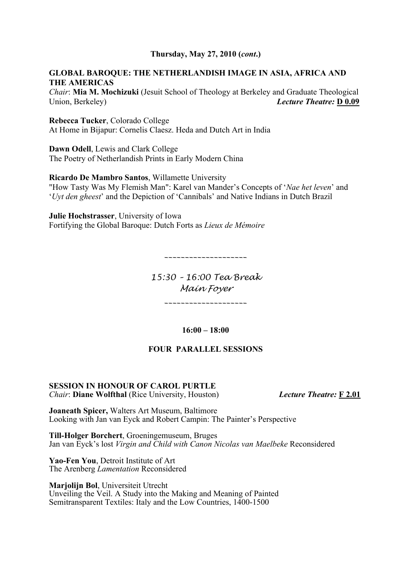## **Thursday, May 27, 2010 (***cont***.)**

## **GLOBAL BAROQUE: THE NETHERLANDISH IMAGE IN ASIA, AFRICA AND THE AMERICAS**

*Chair*: **Mia M. Mochizuki** (Jesuit School of Theology at Berkeley and Graduate Theological Union, Berkeley) *Lecture Theatre:* **D 0.09**

## **Rebecca Tucker**, Colorado College At Home in Bijapur: Cornelis Claesz. Heda and Dutch Art in India

**Dawn Odell**, Lewis and Clark College The Poetry of Netherlandish Prints in Early Modern China

## **Ricardo De Mambro Santos**, Willamette University

"How Tasty Was My Flemish Man": Karel van Mander's Concepts of '*Nae het leven*' and '*Uyt den gheest*' and the Depiction of 'Cannibals' and Native Indians in Dutch Brazil

**Julie Hochstrasser**, University of Iowa Fortifying the Global Baroque: Dutch Forts as *Lieux de Mémoire*

*\_\_\_\_\_\_\_\_\_\_\_\_\_\_\_\_\_\_\_\_*

*15:30 – 16:00 Tea Break Main Foyer*

*\_\_\_\_\_\_\_\_\_\_\_\_\_\_\_\_\_\_\_\_*

**16:00 – 18:00**

### **FOUR PARALLEL SESSIONS**

#### **SESSION IN HONOUR OF CAROL PURTLE** *Chair*: **Diane Wolfthal** (Rice University, Houston) *Lecture Theatre:* **F 2.01**

**Joaneath Spicer,** Walters Art Museum, Baltimore Looking with Jan van Eyck and Robert Campin: The Painter's Perspective

**Till-Holger Borchert**, Groeningemuseum, Bruges Jan van Eyck's lost *Virgin and Child with Canon Nicolas van Maelbeke* Reconsidered

**Yao-Fen You**, Detroit Institute of Art The Arenberg *Lamentation* Reconsidered

**Marjolijn Bol**, Universiteit Utrecht Unveiling the Veil. A Study into the Making and Meaning of Painted Semitransparent Textiles: Italy and the Low Countries, 1400-1500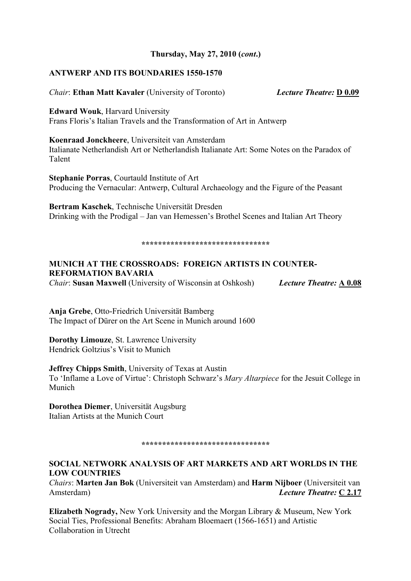#### **ANTWERP AND ITS BOUNDARIES 1550-1570**

*Chair*: **Ethan Matt Kavaler** (University of Toronto) *Lecture Theatre:* **D 0.09**

**Edward Wouk**, Harvard University Frans Floris's Italian Travels and the Transformation of Art in Antwerp

**Koenraad Jonckheere**, Universiteit van Amsterdam Italianate Netherlandish Art or Netherlandish Italianate Art: Some Notes on the Paradox of Talent

**Stephanie Porras**, Courtauld Institute of Art Producing the Vernacular: Antwerp, Cultural Archaeology and the Figure of the Peasant

**Bertram Kaschek**, Technische Universität Dresden Drinking with the Prodigal – Jan van Hemessen's Brothel Scenes and Italian Art Theory

#### **\*\*\*\*\*\*\*\*\*\*\*\*\*\*\*\*\*\*\*\*\*\*\*\*\*\*\*\*\*\*\***

## **MUNICH AT THE CROSSROADS: FOREIGN ARTISTS IN COUNTER-REFORMATION BAVARIA**

*Chair*: **Susan Maxwell** (University of Wisconsin at Oshkosh) *Lecture Theatre:* **A 0.08**

**Anja Grebe**, Otto-Friedrich Universität Bamberg The Impact of Dürer on the Art Scene in Munich around 1600

**Dorothy Limouze**, St. Lawrence University Hendrick Goltzius's Visit to Munich

**Jeffrey Chipps Smith**, University of Texas at Austin To 'Inflame a Love of Virtue': Christoph Schwarz's *Mary Altarpiece* for the Jesuit College in Munich

**Dorothea Diemer**, Universität Augsburg Italian Artists at the Munich Court

#### **\*\*\*\*\*\*\*\*\*\*\*\*\*\*\*\*\*\*\*\*\*\*\*\*\*\*\*\*\*\*\***

## **SOCIAL NETWORK ANALYSIS OF ART MARKETS AND ART WORLDS IN THE LOW COUNTRIES**

*Chairs*: **Marten Jan Bok** (Universiteit van Amsterdam) and **Harm Nijboer** (Universiteit van Amsterdam) *Lecture Theatre:* **C 2.17**

**Elizabeth Nogrady,** New York University and the Morgan Library & Museum, New York Social Ties, Professional Benefits: Abraham Bloemaert (1566-1651) and Artistic Collaboration in Utrecht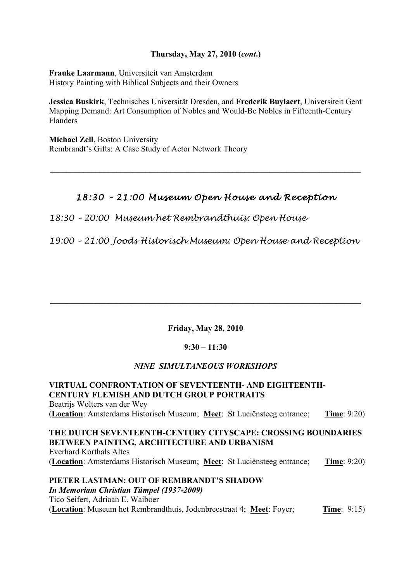## **Thursday, May 27, 2010 (***cont***.)**

**Frauke Laarmann**, Universiteit van Amsterdam History Painting with Biblical Subjects and their Owners

**Jessica Buskirk**, Technisches Universität Dresden, and **Frederik Buylaert**, Universiteit Gent Mapping Demand: Art Consumption of Nobles and Would-Be Nobles in Fifteenth-Century Flanders

**Michael Zell**, Boston University Rembrandt's Gifts: A Case Study of Actor Network Theory

## *18:30 – 21 :00 Museum Open House and Reception*

 $\mathcal{L}_\text{max} = \frac{1}{2} \sum_{i=1}^n \mathcal{L}_\text{max}(\mathbf{z}_i - \mathbf{z}_i)$ 

*18:30 – 20:00 Museum het Rembrandthuis: Open House*

*19:00 – 21:00 Joods Historisch Museum: Open House and Reception*

## **Friday, May 28, 2010**

 $\mathcal{L} = \{ \mathcal{L} \mathcal{L} \mathcal{L} \mathcal{L} \mathcal{L} \mathcal{L} \mathcal{L} \mathcal{L} \mathcal{L} \mathcal{L} \mathcal{L} \mathcal{L} \mathcal{L} \mathcal{L} \mathcal{L} \mathcal{L} \mathcal{L} \mathcal{L} \mathcal{L} \mathcal{L} \mathcal{L} \mathcal{L} \mathcal{L} \mathcal{L} \mathcal{L} \mathcal{L} \mathcal{L} \mathcal{L} \mathcal{L} \mathcal{L} \mathcal{L} \mathcal{L} \mathcal{L} \mathcal{L} \mathcal{L} \$ 

### **9:30 – 11:30**

## *NINE SIMULTANEOUS WORKSHOPS*

**VIRTUAL CONFRONTATION OF SEVENTEENTH- AND EIGHTEENTH-CENTURY FLEMISH AND DUTCH GROUP PORTRAITS**  Beatrijs Wolters van der Wey (**Location**: Amsterdams Historisch Museum; **Meet**: St Luciënsteeg entrance; **Time**: 9:20)

**THE DUTCH SEVENTEENTH-CENTURY CITYSCAPE: CROSSING BOUNDARIES BETWEEN PAINTING, ARCHITECTURE AND URBANISM**  Everhard Korthals Altes (**Location**: Amsterdams Historisch Museum; **Meet**: St Luciënsteeg entrance; **Time**: 9:20)

**PIETER LASTMAN: OUT OF REMBRANDT'S SHADOW**  *In Memoriam Christian Tümpel (1937-2009)* Tico Seifert, Adriaan E. Waiboer (**Location**: Museum het Rembrandthuis, Jodenbreestraat 4; **Meet**: Foyer; **Time**: 9:15)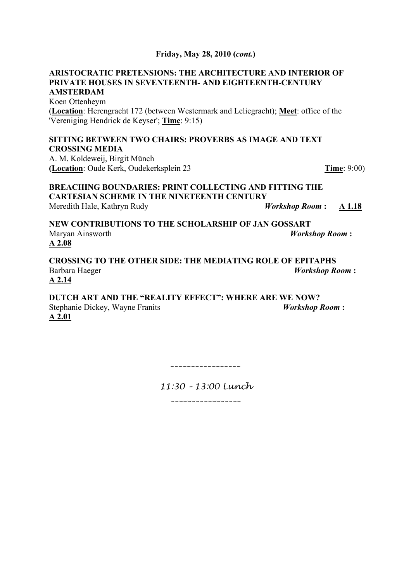## **ARISTOCRATIC PRETENSIONS: THE ARCHITECTURE AND INTERIOR OF PRIVATE HOUSES IN SEVENTEENTH- AND EIGHTEENTH-CENTURY AMSTERDAM**

Koen Ottenheym (**Location**: Herengracht 172 (between Westermark and Leliegracht); **Meet**: office of the 'Vereniging Hendrick de Keyser'; **Time**: 9:15)

## **SITTING BETWEEN TWO CHAIRS: PROVERBS AS IMAGE AND TEXT CROSSING MEDIA**

A. M. Koldeweij, Birgit Münch **(Location**: Oude Kerk, Oudekerksplein 23 **Time**: 9:00)

**BREACHING BOUNDARIES: PRINT COLLECTING AND FITTING THE CARTESIAN SCHEME IN THE NINETEENTH CENTURY**  Meredith Hale, Kathryn Rudy *Workshop Room* **: A 1.18**

**NEW CONTRIBUTIONS TO THE SCHOLARSHIP OF JAN GOSSART**  Maryan Ainsworth *Workshop Room* **:** **A 2.08**

**CROSSING TO THE OTHER SIDE: THE MEDIATING ROLE OF EPITAPHS** Barbara Haeger *Workshop Room* **:** **A 2.14**

**DUTCH ART AND THE "REALITY EFFECT": WHERE ARE WE NOW?**  Stephanie Dickey, Wayne Franits *Workshop Room* **:** **A 2.01**

*\_\_\_\_\_\_\_\_\_\_\_\_\_\_\_\_\_*

*11:30 – 13:00 Lunch*

*\_\_\_\_\_\_\_\_\_\_\_\_\_\_\_\_\_*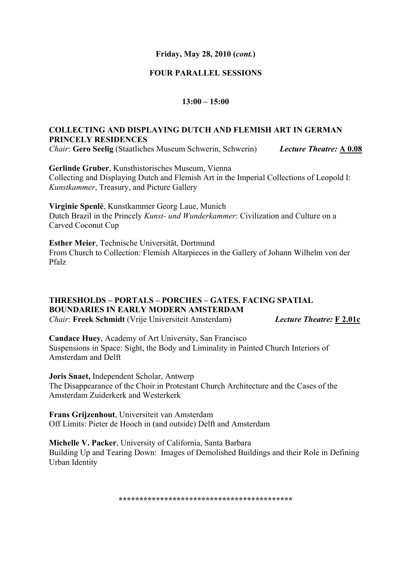## **FOUR PARALLEL SESSIONS**

### **13:00 – 15:00**

## **COLLECTING AND DISPLAYING DUTCH AND FLEMISH ART IN GERMAN PRINCELY RESIDENCES**

*Chair*: **Gero Seelig** (Staatliches Museum Schwerin, Schwerin) *Lecture Theatre:* **A 0.08**

**Gerlinde Gruber**, Kunsthistorisches Museum, Vienna Collecting and Displaying Dutch and Flemish Art in the Imperial Collections of Leopold I: *Kunstkammer*, Treasury, and Picture Gallery

**Virginie Spenlé**, Kunstkammer Georg Laue, Munich Dutch Brazil in the Princely *Kunst- und Wunderkammer*: Civilization and Culture on a Carved Coconut Cup

**Esther Meier**, Technische Universität, Dortmund From Church to Collection: Flemish Altarpieces in the Gallery of Johann Wilhelm von der Pfalz

## **THRESHOLDS – PORTALS – PORCHES – GATES. FACING SPATIAL BOUNDARIES IN EARLY MODERN AMSTERDAM**

*Chair*: **Freek Schmidt** (Vrije Universiteit Amsterdam) *Lecture Theatre:* **F 2.01c**

**Candace Huey**, Academy of Art University, San Francisco Suspensions in Space: Sight, the Body and Liminality in Painted Church Interiors of Amsterdam and Delft

**Joris Snaet,** Independent Scholar, Antwerp The Disappearance of the Choir in Protestant Church Architecture and the Cases of the Amsterdam Zuiderkerk and Westerkerk

**Frans Grijzenhout**, Universiteit van Amsterdam Off Limits: Pieter de Hooch in (and outside) Delft and Amsterdam

**Michelle V. Packer**, University of California, Santa Barbara Building Up and Tearing Down: Images of Demolished Buildings and their Role in Defining Urban Identity

**\*\*\*\*\*\*\*\*\*\*\*\*\*\*\*\*\*\*\*\*\*\*\*\*\*\*\*\*\*\*\*\*\*\*\*\*\*\*\*\*\*\***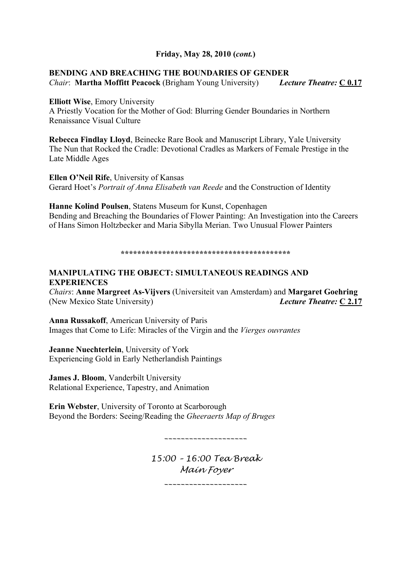## **BENDING AND BREACHING THE BOUNDARIES OF GENDER**

*Chair*: **Martha Moffitt Peacock** (Brigham Young University) *Lecture Theatre:* **C 0.17**

**Elliott Wise**, Emory University

A Priestly Vocation for the Mother of God: Blurring Gender Boundaries in Northern Renaissance Visual Culture

**Rebecca Findlay Lloyd**, Beinecke Rare Book and Manuscript Library, Yale University The Nun that Rocked the Cradle: Devotional Cradles as Markers of Female Prestige in the Late Middle Ages

**Ellen O'Neil Rife**, University of Kansas Gerard Hoet's *Portrait of Anna Elisabeth van Reede* and the Construction of Identity

**Hanne Kolind Poulsen**, Statens Museum for Kunst, Copenhagen Bending and Breaching the Boundaries of Flower Painting: An Investigation into the Careers of Hans Simon Holtzbecker and Maria Sibylla Merian. Two Unusual Flower Painters

**\*\*\*\*\*\*\*\*\*\*\*\*\*\*\*\*\*\*\*\*\*\*\*\*\*\*\*\*\*\*\*\*\*\*\*\*\*\*\*\*\***

## **MANIPULATING THE OBJECT: SIMULTANEOUS READINGS AND EXPERIENCES**

*Chairs*: **Anne Margreet As-Vijvers** (Universiteit van Amsterdam) and **Margaret Goehring** (New Mexico State University) *Lecture Theatre:* **C 2.17**

**Anna Russakoff**, American University of Paris Images that Come to Life: Miracles of the Virgin and the *Vierges ouvrantes*

**Jeanne Nuechterlein**, University of York Experiencing Gold in Early Netherlandish Paintings

**James J. Bloom**, Vanderbilt University Relational Experience, Tapestry, and Animation

**Erin Webster**, University of Toronto at Scarborough Beyond the Borders: Seeing/Reading the *Gheeraerts Map of Bruges*

*\_\_\_\_\_\_\_\_\_\_\_\_\_\_\_\_\_\_\_\_*

*15:00 – 16:00 Tea Break Main Foyer*

*\_\_\_\_\_\_\_\_\_\_\_\_\_\_\_\_\_\_\_\_*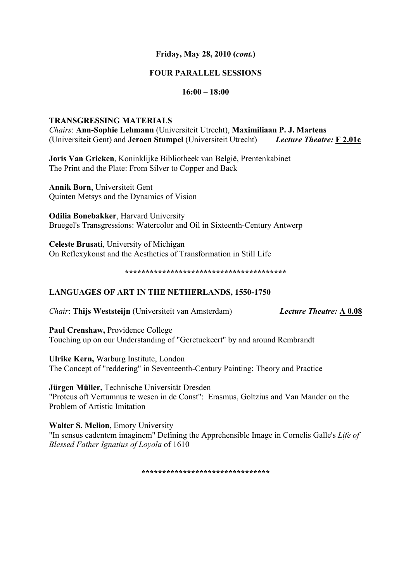## **FOUR PARALLEL SESSIONS**

## **16:00 – 18:00**

### **TRANSGRESSING MATERIALS**

*Chairs*: **Ann-Sophie Lehmann** (Universiteit Utrecht), **Maximiliaan P. J. Martens** (Universiteit Gent) and **Jeroen Stumpel** (Universiteit Utrecht) *Lecture Theatre:* **F 2.01c**

**Joris Van Grieken**, Koninklijke Bibliotheek van België, Prentenkabinet The Print and the Plate: From Silver to Copper and Back

**Annik Born**, Universiteit Gent Quinten Metsys and the Dynamics of Vision

**Odilia Bonebakker**, Harvard University Bruegel's Transgressions: Watercolor and Oil in Sixteenth-Century Antwerp

**Celeste Brusati**, University of Michigan On Reflexykonst and the Aesthetics of Transformation in Still Life

**\*\*\*\*\*\*\*\*\*\*\*\*\*\*\*\*\*\*\*\*\*\*\*\*\*\*\*\*\*\*\*\*\*\*\*\*\*\*\***

## **LANGUAGES OF ART IN THE NETHERLANDS, 1550-1750**

*Chair*: **Thijs Weststeijn** (Universiteit van Amsterdam) *Lecture Theatre:* **A 0.08**

**Paul Crenshaw,** Providence College Touching up on our Understanding of "Geretuckeert" by and around Rembrandt

**Ulrike Kern,** Warburg Institute, London The Concept of "reddering" in Seventeenth-Century Painting: Theory and Practice

**Jürgen Müller,** Technische Universität Dresden "Proteus oft Vertumnus te wesen in de Const": Erasmus, Goltzius and Van Mander on the Problem of Artistic Imitation

Walter S. Melion, Emory University

"In sensus cadentem imaginem" Defining the Apprehensible Image in Cornelis Galle's *Life of Blessed Father Ignatius of Loyola* of 1610

**\*\*\*\*\*\*\*\*\*\*\*\*\*\*\*\*\*\*\*\*\*\*\*\*\*\*\*\*\*\*\***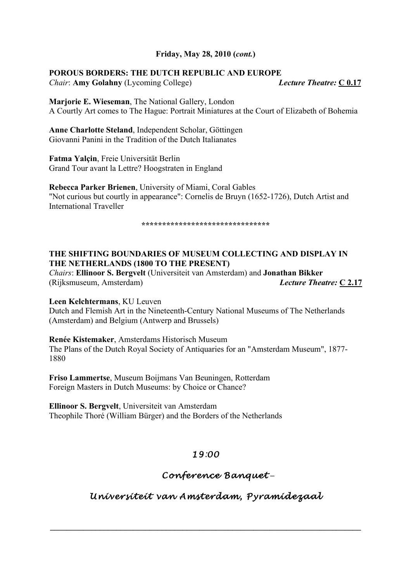## **POROUS BORDERS: THE DUTCH REPUBLIC AND EUROPE**

*Chair*: **Amy Golahny** (Lycoming College) *Lecture Theatre:* **C 0.17**

**Marjorie E. Wieseman**, The National Gallery, London A Courtly Art comes to The Hague: Portrait Miniatures at the Court of Elizabeth of Bohemia

**Anne Charlotte Steland**, Independent Scholar, Göttingen Giovanni Panini in the Tradition of the Dutch Italianates

**Fatma Yalçin**, Freie Universität Berlin Grand Tour avant la Lettre? Hoogstraten in England

**Rebecca Parker Brienen**, University of Miami, Coral Gables "Not curious but courtly in appearance": Cornelis de Bruyn (1652-1726), Dutch Artist and International Traveller

**\*\*\*\*\*\*\*\*\*\*\*\*\*\*\*\*\*\*\*\*\*\*\*\*\*\*\*\*\*\*\***

## **THE SHIFTING BOUNDARIES OF MUSEUM COLLECTING AND DISPLAY IN THE NETHERLANDS (1800 TO THE PRESENT)**

*Chairs*: **Ellinoor S. Bergvelt** (Universiteit van Amsterdam) and **Jonathan Bikker** (Rijksmuseum, Amsterdam) *Lecture Theatre:* **C 2.17**

**Leen Kelchtermans**, KU Leuven

Dutch and Flemish Art in the Nineteenth-Century National Museums of The Netherlands (Amsterdam) and Belgium (Antwerp and Brussels)

**Renée Kistemaker**, Amsterdams Historisch Museum The Plans of the Dutch Royal Society of Antiquaries for an "Amsterdam Museum", 1877- 1880

**Friso Lammertse**, Museum Boijmans Van Beuningen, Rotterdam Foreign Masters in Dutch Museums: by Choice or Chance?

**Ellinoor S. Bergvelt**, Universiteit van Amsterdam Theophile Thoré (William Bürger) and the Borders of the Netherlands

## *19:00*

## *Conference Banquet* **–**

*Universiteit van Amsterdam, Pyramidezaal*

 $\mathcal{L} = \{ \mathcal{L} \mathcal{L} \mathcal{L} \mathcal{L} \mathcal{L} \mathcal{L} \mathcal{L} \mathcal{L} \mathcal{L} \mathcal{L} \mathcal{L} \mathcal{L} \mathcal{L} \mathcal{L} \mathcal{L} \mathcal{L} \mathcal{L} \mathcal{L} \mathcal{L} \mathcal{L} \mathcal{L} \mathcal{L} \mathcal{L} \mathcal{L} \mathcal{L} \mathcal{L} \mathcal{L} \mathcal{L} \mathcal{L} \mathcal{L} \mathcal{L} \mathcal{L} \mathcal{L} \mathcal{L} \mathcal{L} \$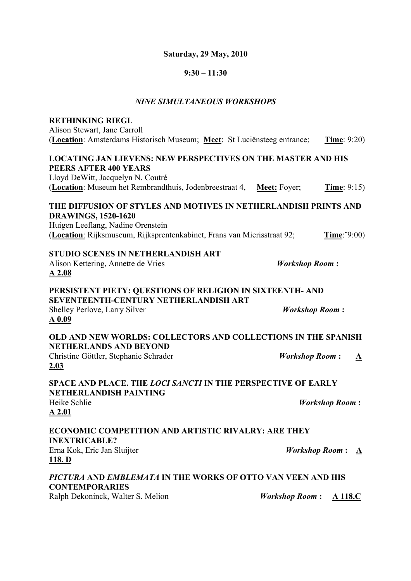## **Saturday, 29 May, 2010**

## **9:30 – 11:30**

#### *NINE SIMULTANEOUS WORKSHOPS*

| <b>RETHINKING RIEGL</b><br>Alison Stewart, Jane Carroll<br>(Location: Amsterdams Historisch Museum; Meet: St Luciënsteeg entrance;                                                                            | <b>Time</b> : $9:20$                              |
|---------------------------------------------------------------------------------------------------------------------------------------------------------------------------------------------------------------|---------------------------------------------------|
| <b>LOCATING JAN LIEVENS: NEW PERSPECTIVES ON THE MASTER AND HIS</b><br>PEERS AFTER 400 YEARS<br>Lloyd DeWitt, Jacquelyn N. Coutré<br>(Location: Museum het Rembrandthuis, Jodenbreestraat 4,                  | <b>Meet:</b> Foyer;<br><b>Time</b> : $9:15$       |
| THE DIFFUSION OF STYLES AND MOTIVES IN NETHERLANDISH PRINTS AND<br><b>DRAWINGS, 1520-1620</b><br>Huigen Leeflang, Nadine Orenstein<br>(Location: Rijksmuseum, Rijksprentenkabinet, Frans van Mierisstraat 92; | Time: 9:00)                                       |
| <b>STUDIO SCENES IN NETHERLANDISH ART</b><br>Alison Kettering, Annette de Vries<br>A2.08                                                                                                                      | <b>Workshop Room:</b>                             |
| PERSISTENT PIETY: QUESTIONS OF RELIGION IN SIXTEENTH- AND<br>SEVENTEENTH-CENTURY NETHERLANDISH ART<br>Shelley Perlove, Larry Silver<br>$A$ 0.09                                                               | <b>Workshop Room:</b>                             |
| OLD AND NEW WORLDS: COLLECTORS AND COLLECTIONS IN THE SPANISH<br><b>NETHERLANDS AND BEYOND</b><br>Christine Göttler, Stephanie Schrader<br>2.03                                                               | <b>Workshop Room:</b><br>$\mathbf{\underline{A}}$ |
| SPACE AND PLACE. THE LOCI SANCTI IN THE PERSPECTIVE OF EARLY<br><b>NETHERLANDISH PAINTING</b><br>Heike Schlie<br>A 2.01                                                                                       | <b>Workshop Room:</b>                             |
| <b>ECONOMIC COMPETITION AND ARTISTIC RIVALRY: ARE THEY</b><br><b>INEXTRICABLE?</b><br>Erna Kok, Eric Jan Sluijter<br><u>118. D</u>                                                                            | <b>Workshop Room:</b><br>$\mathbf{A}$             |
| PICTURA AND EMBLEMATA IN THE WORKS OF OTTO VAN VEEN AND HIS<br><b>CONTEMPORARIES</b><br>Ralph Dekoninck, Walter S. Melion                                                                                     | <b>Workshop Room:</b><br>A 118.C                  |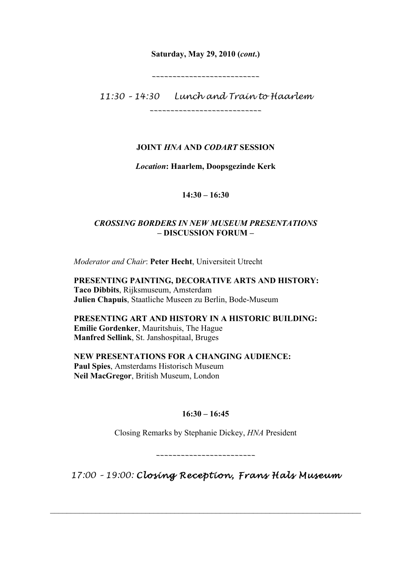## **Saturday, May 29, 2010 (***cont***.)**

*\_\_\_\_\_\_\_\_\_\_\_\_\_\_\_\_\_\_\_\_\_\_\_\_\_\_*

*11:30 – 14:30 Lunch and Train to Haarlem*

*\_\_\_\_\_\_\_\_\_\_\_\_\_\_\_\_\_\_\_\_\_\_\_\_\_\_\_*

## **JOINT** *HNA* **AND** *CODART* **SESSION**

*Location***: Haarlem, Doopsgezinde Kerk**

## **14:30 – 16:30**

## *CROSSING BORDERS IN NEW MUSEUM PRESENTATIONS* **– DISCUSSION FORUM –**

*Moderator and Chair*: **Peter Hecht**, Universiteit Utrecht

**PRESENTING PAINTING, DECORATIVE ARTS AND HISTORY: Taco Dibbits**, Rijksmuseum, Amsterdam **Julien Chapuis**, Staatliche Museen zu Berlin, Bode-Museum

**PRESENTING ART AND HISTORY IN A HISTORIC BUILDING: Emilie Gordenker**, Mauritshuis, The Hague **Manfred Sellink**, St. Janshospitaal, Bruges

**NEW PRESENTATIONS FOR A CHANGING AUDIENCE: Paul Spies**, Amsterdams Historisch Museum **Neil MacGregor**, British Museum, London

## **16:30 – 16:45**

Closing Remarks by Stephanie Dickey, *HNA* President

*\_\_\_\_\_\_\_\_\_\_\_\_\_\_\_\_\_\_\_\_\_\_\_\_*

*17:00 – 19:00: Closing Reception, Frans Hals Museum* 

 $\_$  , and the set of the set of the set of the set of the set of the set of the set of the set of the set of the set of the set of the set of the set of the set of the set of the set of the set of the set of the set of th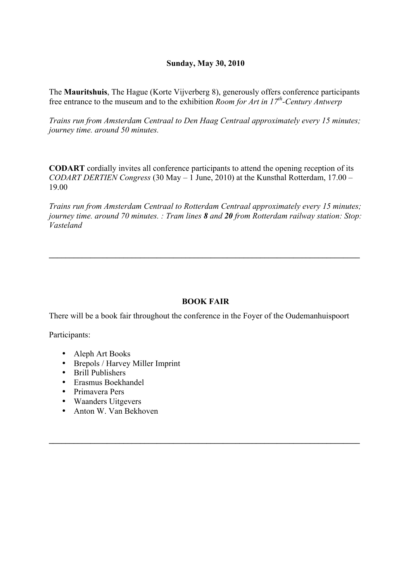## **Sunday, May 30, 2010**

The **Mauritshuis**, The Hague (Korte Vijverberg 8), generously offers conference participants free entrance to the museum and to the exhibition *Room for Art in 17th-Century Antwerp*

*Trains run from Amsterdam Centraal to Den Haag Centraal approximately every 15 minutes; journey time. around 50 minutes.*

**CODART** cordially invites all conference participants to attend the opening reception of its *CODART DERTIEN Congress* (30 May – 1 June, 2010) at the Kunsthal Rotterdam, 17.00 – 19.00

*Trains run from Amsterdam Centraal to Rotterdam Centraal approximately every 15 minutes; journey time. around 70 minutes. : Tram lines 8 and 20 from Rotterdam railway station: Stop: Vasteland* 

**\_\_\_\_\_\_\_\_\_\_\_\_\_\_\_\_\_\_\_\_\_\_\_\_\_\_\_\_\_\_\_\_\_\_\_\_\_\_\_\_\_\_\_\_\_\_\_\_\_\_\_\_\_\_\_\_\_\_\_\_\_\_\_\_\_\_\_\_\_\_\_\_\_\_\_**

## **BOOK FAIR**

 $\mathcal{L} = \{ \mathcal{L} \mathcal{L} \mathcal{L} \mathcal{L} \mathcal{L} \mathcal{L} \mathcal{L} \mathcal{L} \mathcal{L} \mathcal{L} \mathcal{L} \mathcal{L} \mathcal{L} \mathcal{L} \mathcal{L} \mathcal{L} \mathcal{L} \mathcal{L} \mathcal{L} \mathcal{L} \mathcal{L} \mathcal{L} \mathcal{L} \mathcal{L} \mathcal{L} \mathcal{L} \mathcal{L} \mathcal{L} \mathcal{L} \mathcal{L} \mathcal{L} \mathcal{L} \mathcal{L} \mathcal{L} \mathcal{L} \$ 

There will be a book fair throughout the conference in the Foyer of the Oudemanhuispoort

Participants:

- Aleph Art Books
- Brepols / Harvey Miller Imprint
- Brill Publishers
- Erasmus Boekhandel
- Primavera Pers
- Waanders Uitgevers
- Anton W. Van Bekhoven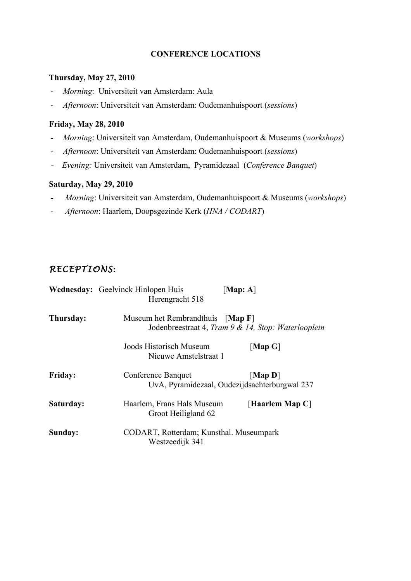## **CONFERENCE LOCATIONS**

## **Thursday, May 27, 2010**

- *Morning*: Universiteit van Amsterdam: Aula
- *Afternoon*: Universiteit van Amsterdam: Oudemanhuispoort (*sessions*)

## **Friday, May 28, 2010**

- *Morning*: Universiteit van Amsterdam, Oudemanhuispoort & Museums (*workshops*)
- *Afternoon*: Universiteit van Amsterdam: Oudemanhuispoort (*sessions*)
- *Evening:* Universiteit van Amsterdam, Pyramidezaal (*Conference Banquet*)

## **Saturday, May 29, 2010**

- - *Morning*: Universiteit van Amsterdam, Oudemanhuispoort & Museums (*workshops*)
- - *Afternoon*: Haarlem, Doopsgezinde Kerk (*HNA / CODART*)

## *RECEPTIONS***:**

|                | <b>Wednesday:</b> Geelvinck Hinlopen Huis<br>Herengracht 518 | [Map: $A$ ]                                                                      |  |
|----------------|--------------------------------------------------------------|----------------------------------------------------------------------------------|--|
| Thursday:      | Museum het Rembrandthuis                                     | $\lfloor$ Map F $\rfloor$<br>Jodenbreestraat 4, Tram 9 & 14, Stop: Waterlooplein |  |
|                | Joods Historisch Museum<br>Nieuwe Amstelstraat 1             | $[Map \ G]$                                                                      |  |
| <b>Friday:</b> | Conference Banquet                                           | [Map D]<br>UvA, Pyramidezaal, Oudezijdsachterburgwal 237                         |  |
| Saturday:      | Haarlem, Frans Hals Museum<br>Groot Heiligland 62            | [Haarlem Map $C$ ]                                                               |  |
| Sunday:        | CODART, Rotterdam; Kunsthal. Museumpark<br>Westzeedijk 341   |                                                                                  |  |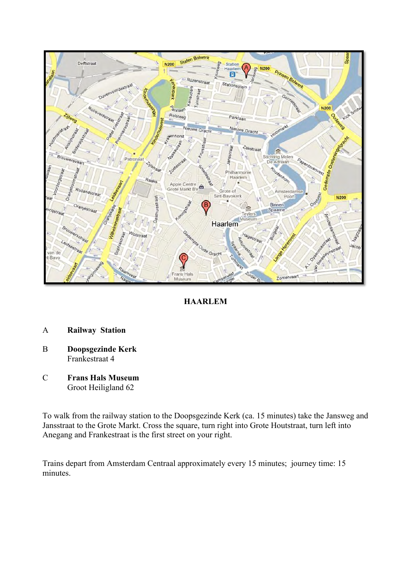

## **HAARLEM**

- A **Railway Station**
- B **Doopsgezinde Kerk** Frankestraat 4
- C **Frans Hals Museum** Groot Heiligland 62

To walk from the railway station to the Doopsgezinde Kerk (ca. 15 minutes) take the Jansweg and Jansstraat to the Grote Markt. Cross the square, turn right into Grote Houtstraat, turn left into Anegang and Frankestraat is the first street on your right.

Trains depart from Amsterdam Centraal approximately every 15 minutes; journey time: 15 minutes.